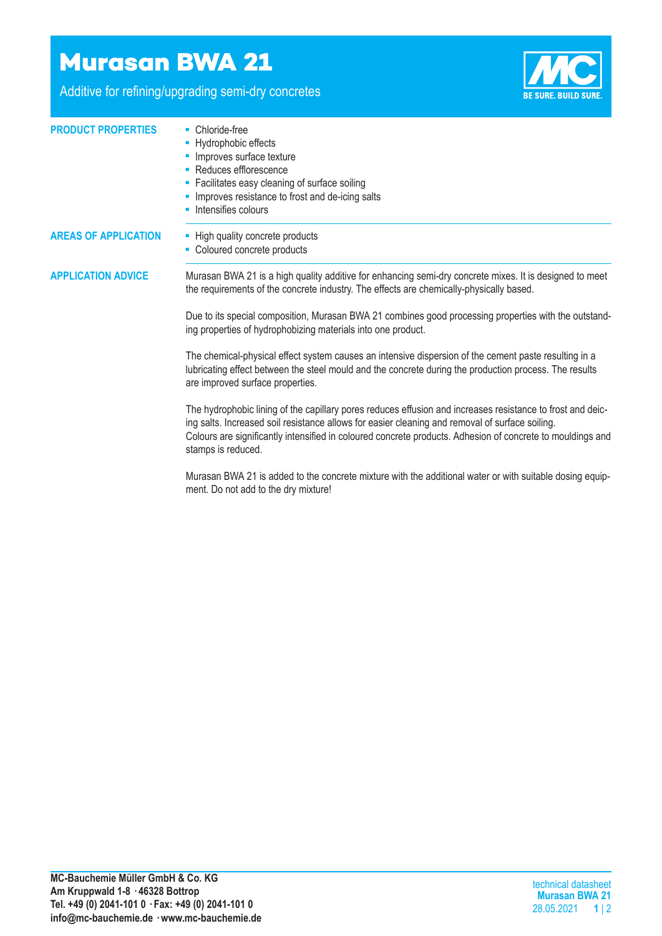## **Murasan BWA 21**

Additive for refining/upgrading semi-dry concretes

stamps is reduced.



| <b>PRODUCT PROPERTIES</b>   | • Chloride-free<br>- Hydrophobic effects<br>• Improves surface texture<br>• Reduces efflorescence<br>• Facilitates easy cleaning of surface soiling<br>• Improves resistance to frost and de-icing salts<br>• Intensifies colours                                                                                           |  |  |  |
|-----------------------------|-----------------------------------------------------------------------------------------------------------------------------------------------------------------------------------------------------------------------------------------------------------------------------------------------------------------------------|--|--|--|
| <b>AREAS OF APPLICATION</b> | - High quality concrete products<br>• Coloured concrete products                                                                                                                                                                                                                                                            |  |  |  |
| <b>APPLICATION ADVICE</b>   | Murasan BWA 21 is a high quality additive for enhancing semi-dry concrete mixes. It is designed to meet<br>the requirements of the concrete industry. The effects are chemically-physically based.                                                                                                                          |  |  |  |
|                             | Due to its special composition, Murasan BWA 21 combines good processing properties with the outstand-<br>ing properties of hydrophobizing materials into one product.                                                                                                                                                       |  |  |  |
|                             | The chemical-physical effect system causes an intensive dispersion of the cement paste resulting in a<br>lubricating effect between the steel mould and the concrete during the production process. The results<br>are improved surface properties.                                                                         |  |  |  |
|                             | The hydrophobic lining of the capillary pores reduces effusion and increases resistance to frost and deic-<br>ing salts. Increased soil resistance allows for easier cleaning and removal of surface soiling.<br>Colours are significantly intensified in coloured concrete products. Adhesion of concrete to mouldings and |  |  |  |

Murasan BWA 21 is added to the concrete mixture with the additional water or with suitable dosing equipment. Do not add to the dry mixture!